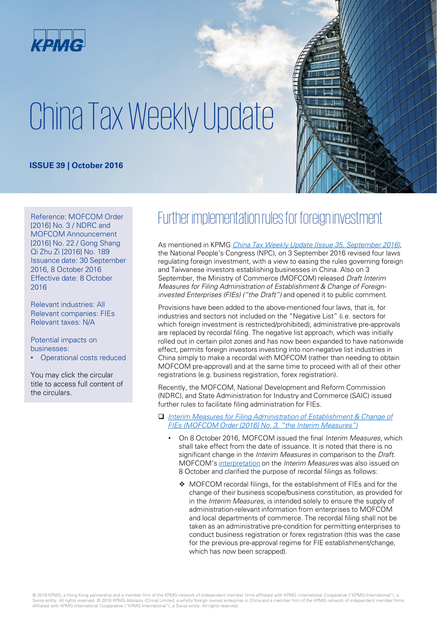

# China Tax Weekly Update

#### **ISSUE 39 | October 2016**



[2016] No. 3 / NDRC and MOFCOM Announcement [2016] No. 22 / Gong Shang Qi Zhu Zi [2016] No. 189 Issuance date: 30 September 2016, 8 October 2016 Effective date: 8 October 2016

Relevant industries: All Relevant companies: FIEs Relevant taxes: N/A

#### Potential impacts on businesses:

• Operational costs reduced

You may click the circular title to access full content of the circulars.

## Reference: MOFCOM Order Further implementation rules for foreign investment

As mentioned in KPMG [China Tax Weekly Update \(Issue 35, September 2016\)](https://home.kpmg.com/cn/en/home/insights/2016/09/china-tax-weekly-update-35.html), the National People's Congress (NPC), on 3 September 2016 revised four laws regulating foreign investment, with a view to easing the rules governing foreign and Taiwanese investors establishing businesses in China. Also on 3 September, the Ministry of Commerce (MOFCOM) released Draft Interim Measures for Filing Administration of Establishment & Change of Foreigninvested Enterprises (FIEs) ("the Draft") and opened it to public comment.

Provisions have been added to the above-mentioned four laws, that is, for industries and sectors not included on the "Negative List" (i.e. sectors for which foreign investment is restricted/prohibited), administrative pre-approvals are replaced by recordal filing. The negative list approach, which was initially rolled out in certain pilot zones and has now been expanded to have nationwide effect, permits foreign investors investing into non-negative list industries in China simply to make a recordal with MOFCOM (rather than needing to obtain MOFCOM pre-approval) and at the same time to proceed with all of their other registrations (e.g. business registration, forex registration).

Recently, the MOFCOM, National Development and Reform Commission (NDRC), and State Administration for Industry and Commerce (SAIC) issued further rules to facilitate filing administration for FIEs.

- □ Interim Measures for Filing Administration of Establishment & Change of FIEs (MOFCOM Order [2016] No. 3, "the Interim Measures")
	- On 8 October 2016, MOFCOM issued the final Interim Measures, which shall take effect from the date of issuance. It is noted that there is no significant change in the *Interim Measures* in comparison to the *Draft*. MOFCOM's [interpretation](http://www.mofcom.gov.cn/article/ae/ag/201610/20161001404978.shtml) on the Interim Measures was also issued on 8 October and clarified the purpose of recordal filings as follows:
		- ◆ MOFCOM recordal filings, for the establishment of FIEs and for the change of their business scope/business constitution, as provided for in the Interim Measures, is intended solely to ensure the supply of administration-relevant information from enterprises to MOFCOM and local departments of commerce. The recordal filing shall not be taken as an administrative pre-condition for permitting enterprises to conduct business registration or forex registration (this was the case for the previous pre-approval regime for FIE establishment/change, which has now been scrapped).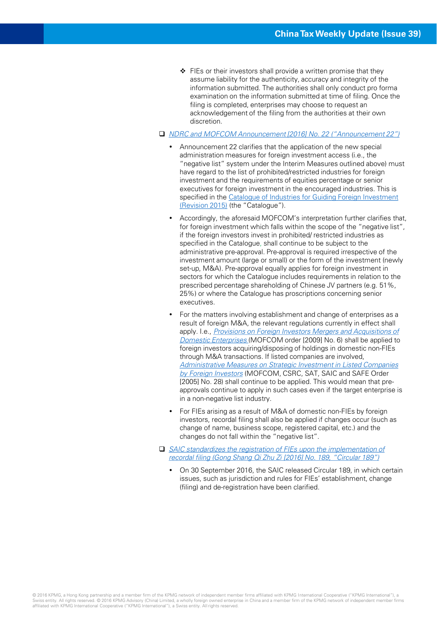$\div$  FIEs or their investors shall provide a written promise that they assume liability for the authenticity, accuracy and integrity of the information submitted. The authorities shall only conduct pro forma examination on the information submitted at time of filing. Once the filing is completed, enterprises may choose to request an acknowledgement of the filing from the authorities at their own discretion.

#### NDRC [and MOFCOM Announcement \[2016\] No. 22 \("Announcement 22"\)](http://www.sdpc.gov.cn/zcfb/zcfbgg/201610/t20161008_821973.html)

- Announcement 22 clarifies that the application of the new special administration measures for foreign investment access (i.e., the "negative list" system under the Interim Measures outlined above) must have regard to the list of prohibited/restricted industries for foreign investment and the requirements of equities percentage or senior executives for foreign investment in the encouraged industries. This is [specified in the Catalogue of Industries for Guiding Foreign Investment](http://fgs.ndrc.gov.cn/flgz/201507/t20150701_710412.html)  (Revision 2015) (the "Catalogue").
- Accordingly, the aforesaid MOFCOM's interpretation further clarifies that, for foreign investment which falls within the scope of the "negative list", if the foreign investors invest in prohibited/ restricted industries as specified in the Catalogue, shall continue to be subject to the administrative pre-approval. Pre-approval is required irrespective of the investment amount (large or small) or the form of the investment (newly set-up, M&A). Pre-approval equally applies for foreign investment in sectors for which the Catalogue includes requirements in relation to the prescribed percentage shareholding of Chinese JV partners (e.g. 51%, 25%) or where the Catalogue has proscriptions concerning senior executives.
- For the matters involving establishment and change of enterprises as a result of foreign M&A, the relevant regulations currently in effect shall apply. I.e., [Provisions on Foreign Investors Mergers and Acquisitions of](http://www.mofcom.gov.cn/article/b/c/200907/20090706416939.shtml)  Domestic Enterprises (MOFCOM order [2009] No. 6) shall be applied to foreign investors acquiring/disposing of holdings in domestic non-FIEs through M&A transactions. If listed companies are involved, Administrative Measures on Strategic Investment in Listed Companies by Foreign Investors (MOFCOM, CSRC, SAT, SAIC and SAFE Order [2005] No. 28) shall continue to be applied. This would mean that preapprovals continue to apply in such cases even if the target enterprise is in a non-negative list industry.
- For FIEs arising as a result of M&A of domestic non-FIEs by foreign investors, recordal filing shall also be applied if changes occur (such as change of name, business scope, registered capital, etc.) and the changes do not fall within the "negative list".
- □ SAIC standardizes the registration of FIEs upon the implementation of recordal filing (Gong Shang Qi Zhu Zi [2016] No. 189, "Circular 189")
	- On 30 September 2016, the SAIC released Circular 189, in which certain issues, such as jurisdiction and rules for FIEs' establishment, change (filing) and de-registration have been clarified.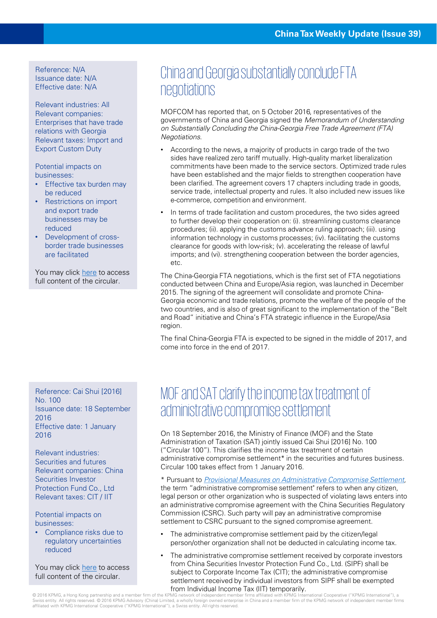#### Reference: N/A Issuance date: N/A Effective date: N/A

Relevant industries: All Relevant companies: Enterprises that have trade relations with Georgia Relevant taxes: Import and Export Custom Duty

Potential impacts on businesses:

- Effective tax burden may be reduced
- Restrictions on import and export trade businesses may be reduced
- Development of crossborder trade businesses are facilitated

You may click [here](http://english.mofcom.gov.cn/article/newsrelease/significantnews/201610/20161001405928.shtml) to access full content of the circular.

Reference: Cai Shui [2016] No. 100 Issuance date: 18 September 2016 Effective date: 1 January 2016

Relevant industries: Securities and futures Relevant companies: China Securities Investor Protection Fund Co., Ltd Relevant taxes: CIT / IIT

Potential impacts on businesses:

• Compliance risks due to regulatory uncertainties reduced

You may click [here](http://sy.lnsds.gov.cn/art/2016/9/30/art_1795_106060.html) to access full content of the circular.

### China and Georgia substantially conclude FTA negotiations

MOFCOM has reported that, on 5 October 2016, representatives of the governments of China and Georgia signed the Memorandum of Understanding on Substantially Concluding the China-Georgia Free Trade Agreement (FTA) Negotiations.

- According to the news, a majority of products in cargo trade of the two sides have realized zero tariff mutually. High-quality market liberalization commitments have been made to the service sectors. Optimized trade rules have been established and the major fields to strengthen cooperation have been clarified. The agreement covers 17 chapters including trade in goods, service trade, intellectual property and rules. It also included new issues like e-commerce, competition and environment.
- In terms of trade facilitation and custom procedures, the two sides agreed to further develop their cooperation on: (i). streamlining customs clearance procedures; (ii). applying the customs advance ruling approach; (iii). using information technology in customs processes; (iv). facilitating the customs clearance for goods with low-risk; (v). accelerating the release of lawful imports; and (vi). strengthening cooperation between the border agencies, etc.

The China-Georgia FTA negotiations, which is the first set of FTA negotiations conducted between China and Europe/Asia region, was launched in December 2015. The signing of the agreement will consolidate and promote China-Georgia economic and trade relations, promote the welfare of the people of the two countries, and is also of great significant to the implementation of the "Belt and Road" initiative and China's FTA strategic influence in the Europe/Asia region.

The final China-Georgia FTA is expected to be signed in the middle of 2017, and come into force in the end of 2017.

### MOF and SAT clarify the income tax treatment of administrative compromise settlement

On 18 September 2016, the Ministry of Finance (MOF) and the State Administration of Taxation (SAT) jointly issued Cai Shui [2016] No. 100 ("Circular 100"). This clarifies the income tax treatment of certain administrative compromise settlement\* in the securities and futures business. Circular 100 takes effect from 1 January 2016.

\* Pursuant to [Provisional Measures on Administrative Compromise Settlement,](http://www.csrc.gov.cn/pub/zjhpublic/G00306201/201503/t20150306_269627.htm) the term "administrative compromise settlement" refers to when any citizen, legal person or other organization who is suspected of violating laws enters into an administrative compromise agreement with the China Securities Regulatory Commission (CSRC). Such party will pay an administrative compromise settlement to CSRC pursuant to the signed compromise agreement.

- The administrative compromise settlement paid by the citizen/legal person/other organization shall not be deducted in calculating income tax.
- The administrative compromise settlement received by corporate investors from China Securities Investor Protection Fund Co., Ltd. (SIPF) shall be subject to Corporate Income Tax (CIT); the administrative compromise settlement received by individual investors from SIPF shall be exempted from Individual Income Tax (IIT) temporarily.

© 2016 KPMG, a Hong Kong partnership and a member firm of the KPMG network of independent member firms affiliated with KPMG International Cooperative ("KPMG International"), a<br>Swiss entity. All rights reserved. © 2016 KPMG affiliated with KPMG International Cooperative ("KPMG International"), a Swiss entity. All rights reserved.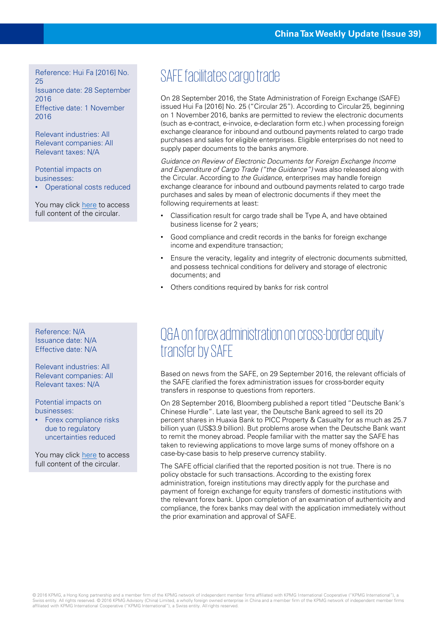Reference: Hui Fa [2016] No. 25 Issuance date: 28 September 2016 Effective date: 1 November 2016

Relevant industries: All Relevant companies: All Relevant taxes: N/A

Potential impacts on businesses: • Operational costs reduced

You may click [here](http://www.safe.gov.cn/wps/portal/!ut/p/c5/04_SB8K8xLLM9MSSzPy8xBz9CP0os3gPZxdnX293QwML7zALA09P02Bnr1BvI2c_E_1wkA6zeGd3Rw8Tcx8DAwsTdwMDTxMnfz8P50BDA09jiLwBDuBooO_nkZ-bql-QnZ3m6KioCACk6Xh-/dl3/d3/L2dJQSEvUUt3QS9ZQnZ3LzZfSENEQ01LRzEwODRJQzBJSUpRRUpKSDEySTI!/?WCM_GLOBAL_CONTEXT=/wps/wcm/connect/safe_web_store/safe_web/zcfg/jcxmwhgl/jcksfhyhxgl/node_zcfg_jcxm_jck_store/f36949804e66838fb716ff628f71f4b0) to access full content of the circular.

#### Reference: N/A Issuance date: N/A Effective date: N/A

Relevant industries: All Relevant companies: All Relevant taxes: N/A

Potential impacts on businesses:

• Forex compliance risks due to regulatory uncertainties reduced

You may click [here](http://www.safe.gov.cn/wps/portal/!ut/p/c5/04_SB8K8xLLM9MSSzPy8xBz9CP0os3gPZxdnX293QwML7zALA09P02Bnr1BvI2c_E_1wkA6zeGd3Rw8Tcx8DAwsTdwMDTxMnfz8P50BDA09jiLwBDuBooO_nkZ-bql-QnZ3m6KioCACk6Xh-/dl3/d3/L2dJQSEvUUt3QS9ZQnZ3LzZfSENEQ01LRzEwODRJQzBJSUpRRUpKSDEySTI!/?WCM_GLOBAL_CONTEXT=/wps/wcm/connect/safe_web_store/safe_web/whxw/zcfgjd/node_news_zcfgjd_store/14f6cd004e69ca66b043b5985ab0ac06) to access full content of the circular.

# SAFE facilitates cargo trade

On 28 September 2016, the State Administration of Foreign Exchange (SAFE) issued Hui Fa [2016] No. 25 ("Circular 25"). According to Circular 25, beginning on 1 November 2016, banks are permitted to review the electronic documents (such as e-contract, e-invoice, e-declaration form etc.) when processing foreign exchange clearance for inbound and outbound payments related to cargo trade purchases and sales for eligible enterprises. Eligible enterprises do not need to supply paper documents to the banks anymore.

Guidance on Review of Electronic Documents for Foreign Exchange Income and Expenditure of Cargo Trade ("the Guidance") was also released along with the Circular. According to the Guidance, enterprises may handle foreign exchange clearance for inbound and outbound payments related to cargo trade purchases and sales by mean of electronic documents if they meet the following requirements at least:

- Classification result for cargo trade shall be Type A, and have obtained business license for 2 years;
- Good compliance and credit records in the banks for foreign exchange income and expenditure transaction;
- Ensure the veracity, legality and integrity of electronic documents submitted, and possess technical conditions for delivery and storage of electronic documents; and
- Others conditions required by banks for risk control

### Q&A on forex administration on cross-border equity transfer by SAFE

Based on news from the SAFE, on 29 September 2016, the relevant officials of the SAFE clarified the forex administration issues for cross-border equity transfers in response to questions from reporters.

On 28 September 2016, Bloomberg published a report titled "Deutsche Bank's Chinese Hurdle". Late last year, the Deutsche Bank agreed to sell its 20 percent shares in Huaxia Bank to PICC Property & Casualty for as much as 25.7 billion yuan (US\$3.9 billion). But problems arose when the Deutsche Bank want to remit the money abroad. People familiar with the matter say the SAFE has taken to reviewing applications to move large sums of money offshore on a case-by-case basis to help preserve currency stability.

The SAFE official clarified that the reported position is not true. There is no policy obstacle for such transactions. According to the existing forex administration, foreign institutions may directly apply for the purchase and payment of foreign exchange for equity transfers of domestic institutions with the relevant forex bank. Upon completion of an examination of authenticity and compliance, the forex banks may deal with the application immediately without the prior examination and approval of SAFE.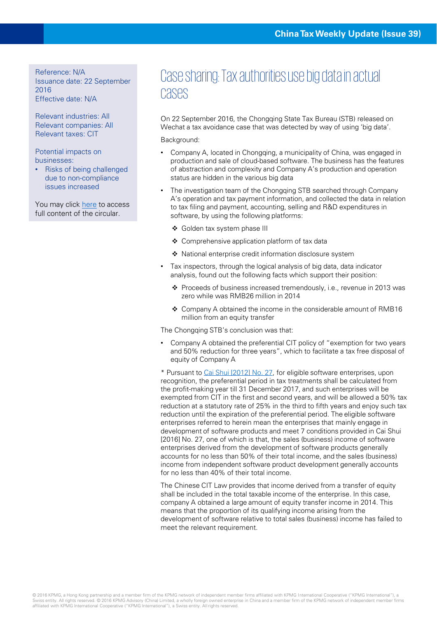Reference: N/A Issuance date: 22 September 2016 Effective date: N/A

Relevant industries: All Relevant companies: All Relevant taxes: CIT

Potential impacts on businesses:

• Risks of being challenged due to non-compliance issues increased

You may click [here](http://mp.weixin.qq.com/s?__biz=MzA5MjYzNDUwNw==&mid=2650417285&idx=6&sn=35c7f2a4887183610425a0472d62e519&scene=0#wechat_redirect) to access full content of the circular.

### Case sharing: Tax authorities use big data in actual cases

On 22 September 2016, the Chongqing State Tax Bureau (STB) released on Wechat a tax avoidance case that was detected by way of using 'big data'.

Background:

- Company A, located in Chongqing, a municipality of China, was engaged in production and sale of cloud-based software. The business has the features of abstraction and complexity and Company A's production and operation status are hidden in the various big data
- The investigation team of the Chongqing STB searched through Company A's operation and tax payment information, and collected the data in relation to tax filing and payment, accounting, selling and R&D expenditures in software, by using the following platforms:
	- Golden tax system phase III
	- Comprehensive application platform of tax data
	- National enterprise credit information disclosure system
- Tax inspectors, through the logical analysis of big data, data indicator analysis, found out the following facts which support their position:
	- Proceeds of business increased tremendously, i.e., revenue in 2013 was zero while was RMB26 million in 2014
	- Company A obtained the income in the considerable amount of RMB16 million from an equity transfer

The Chongqing STB's conclusion was that:

• Company A obtained the preferential CIT policy of "exemption for two years and 50% reduction for three years", which to facilitate a tax free disposal of equity of Company A

\* Pursuant to [Cai Shui \[2012\] No. 27,](http://hd.chinatax.gov.cn/guoshui/action/GetArticleView1.do?id=204143&flag=1) for eligible software enterprises, upon recognition, the preferential period in tax treatments shall be calculated from the profit-making year till 31 December 2017, and such enterprises will be exempted from CIT in the first and second years, and will be allowed a 50% tax reduction at a statutory rate of 25% in the third to fifth years and enjoy such tax reduction until the expiration of the preferential period. The eligible software enterprises referred to herein mean the enterprises that mainly engage in development of software products and meet 7 conditions provided in Cai Shui [2016] No. 27, one of which is that, the sales (business) income of software enterprises derived from the development of software products generally accounts for no less than 50% of their total income, and the sales (business) income from independent software product development generally accounts for no less than 40% of their total income.

The Chinese CIT Law provides that income derived from a transfer of equity shall be included in the total taxable income of the enterprise. In this case, company A obtained a large amount of equity transfer income in 2014. This means that the proportion of its qualifying income arising from the development of software relative to total sales (business) income has failed to meet the relevant requirement.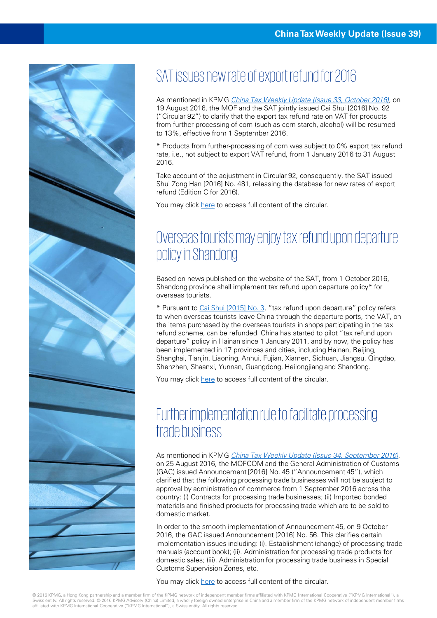

# SAT issues new rate of export refund for 2016

As mentioned in KPMG [China Tax Weekly Update \(Issue 33, October 2016\)](https://home.kpmg.com/cn/en/home/insights/2016/08/china-tax-weekly-update-33.html), on 19 August 2016, the MOF and the SAT jointly issued Cai Shui [2016] No. 92 ("Circular 92") to clarify that the export tax refund rate on VAT for products from further-processing of corn (such as corn starch, alcohol) will be resumed to 13%, effective from 1 September 2016.

\* Products from further-processing of corn was subject to 0% export tax refund rate, i.e., not subject to export VAT refund, from 1 January 2016 to 31 August 2016.

Take account of the adjustment in Circular 92, consequently, the SAT issued Shui Zong Han [2016] No. 481, releasing the database for new rates of export refund (Edition C for 2016).

You may click [here](http://www.chinatax.gov.cn/n810341/n810755/c2280254/content.html) to access full content of the circular.

## Overseas tourists may enjoy tax refund upon departure policy in Shandong

Based on news published on the website of the SAT, from 1 October 2016, Shandong province shall implement tax refund upon departure policy\* for overseas tourists.

\* Pursuant to Cai Shui [\[2015\] No. 3](http://szs.mof.gov.cn/zhengwuxinxi/zhengcefabu/201501/t20150116_1181116.html), "tax refund upon departure" policy refers to when overseas tourists leave China through the departure ports, the VAT, on the items purchased by the overseas tourists in shops participating in the tax refund scheme, can be refunded. China has started to pilot "tax refund upon departure" policy in Hainan since 1 January 2011, and by now, the policy has been implemented in 17 provinces and cities, including Hainan, Beijing, Shanghai, Tianjin, Liaoning, Anhui, Fujian, Xiamen, Sichuan, Jiangsu, Qingdao, Shenzhen, Shaanxi, Yunnan, Guangdong, Heilongjiang and Shandong.

You may click [here](http://www.chinatax.gov.cn/n810219/n810724/c2279046/content.html) to access full content of the circular.

### Further implementation rule to facilitate processing trade business

As mentioned in KPMG [China Tax Weekly Update \(Issue 34, September 2016\)](https://home.kpmg.com/cn/en/home/insights/2016/09/china-tax-weekly-update-34.html), on 25 August 2016, the MOFCOM and the General Administration of Customs (GAC) issued Announcement [2016] No. 45 ("Announcement 45"), which clarified that the following processing trade businesses will not be subject to approval by administration of commerce from 1 September 2016 across the country: (i) Contracts for processing trade businesses; (ii) Imported bonded materials and finished products for processing trade which are to be sold to domestic market.

In order to the smooth implementation of Announcement 45, on 9 October 2016, the GAC issued Announcement [2016] No. 56. This clarifies certain implementation issues including: (i). Establishment (change) of processing trade manuals (account book); (ii). Administration for processing trade products for domestic sales; (iii). Administration for processing trade business in Special Customs Supervision Zones, etc.

You may click [here](http://ningbo.customs.gov.cn/publish/portal0/tab49564/info822383.htm) to access full content of the circular.

© 2016 KPMG, a Hong Kong partnership and a member firm of the KPMG network of independent member firms affiliated with KPMG International Cooperative ("KPMG International"), a Swiss entity. All rights reserved. © 2016 KPMG Advisory (China) Limited, a wholly foreign owned enterprise in China and a member firm of the KPMG network of independent member firms affiliated with KPMG International Cooperative ("KPMG International"), a Swiss entity. All rights reserved.